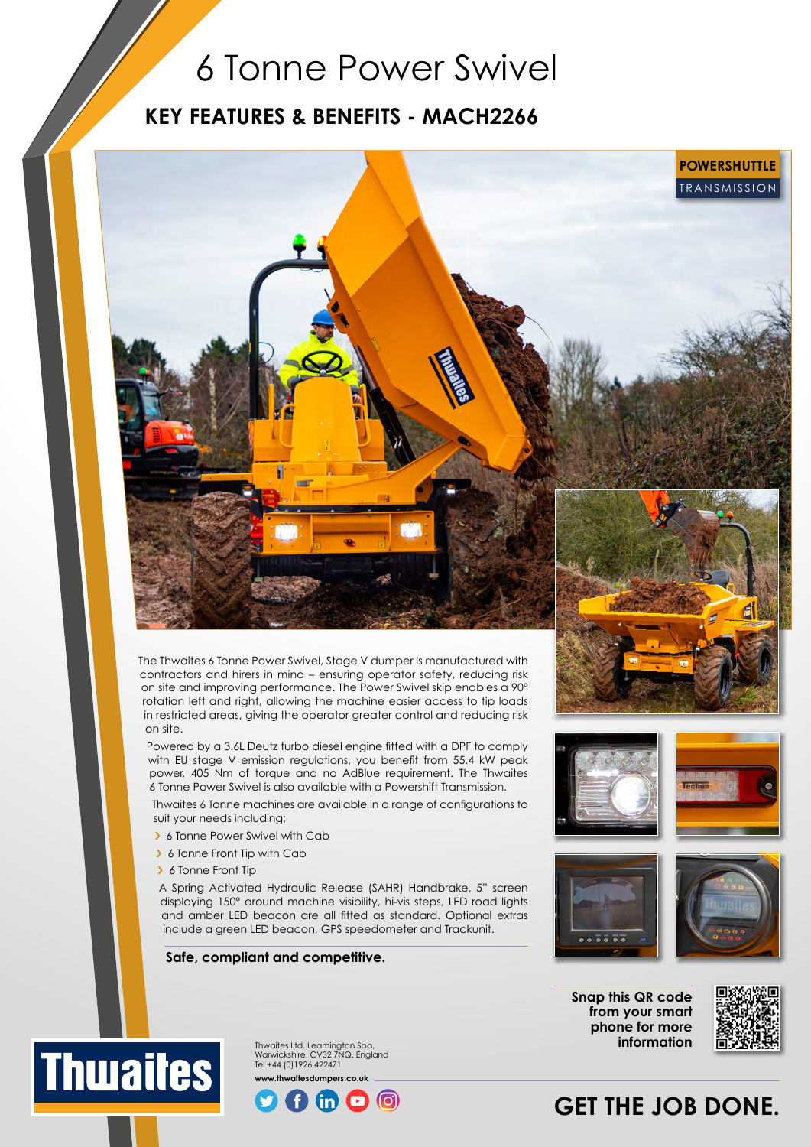## 6 Tonne Power Swivel

### **KEY FEATURES & BENEFITS - MACH2266**



The Thwaites 6 Tonne Power Swivel, Stage V dumper is manufactured with contractors and hirers in mind – ensuring operator safety, reducing risk on site and improving performance. The Power Swivel skip enables a 90° rotation left and right, allowing the machine easier access to tip loads in restricted areas, giving the operator greater control and reducing risk on site.

Powered by a 3.6L Deutz turbo diesel engine fitted with a DPF to comply with EU stage V emission regulations, you benefit from 55.4 kW peak power, 405 Nm of torque and no AdBlue requirement. The Thwaites 6 Tonne Power Swivel is also available with a Powershift Transmission.

Thwaites 6 Tonne machines are available in a range of configurations to suit your needs including:

- > 6 Tonne Power Swivel with Cab
- › 6 Tonne Front Tip with Cab
- › 6 Tonne Front Tip

A Spring Activated Hydraulic Release (SAHR) Handbrake, 5" screen displaying 150° around machine visibility, hi-vis steps, LED road lights and amber LED beacon are all fitted as standard. Optional extras include a green LED beacon, GPS speedometer and Trackunit.

#### **Safe, compliant and competitive.**













Thwaites Ltd. Leamington Spa, Warwickshire, CV32 7NQ. England Tel +44 (0)1926 422471 **www.thwaitesdumpers.co.uk**